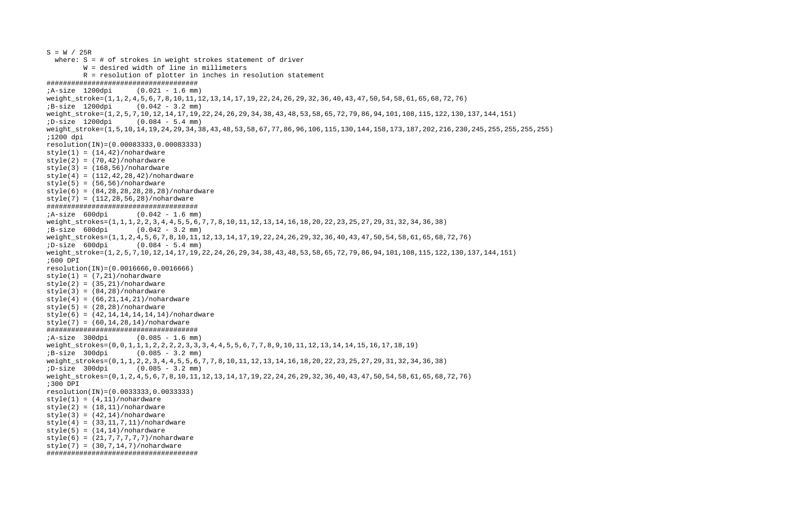```
S = W / 25R where: S = # of strokes in weight strokes statement of driver 
 W = desired width of line in millimeters 
          R = resolution of plotter in inches in resolution statement 
##################################### 
;A-size 1200dpi (0.021 - 1.6 mm) 
weight_stroke=(1,1,2,4,5,6,7,8,10,11,12,13,14,17,19,22,24,26,29,32,36,40,43,47,50,54,58,61,65,68,72,76)
;B-size 1200dpi (0.042 - 3.2 mm) 
weight_stroke=(1,2,5,7,10,12,14,17,19,22,24,26,29,34,38,43,48,53,58,65,72,79,86,94,101,108,115,122,130,137,144,151) 
;D-size 1200dpi (0.084 - 5.4 mm) 
weight_stroke=(1,5,10,14,19,24,29,34,38,43,48,53,58,67,77,86,96,106,115,130,144,158,173,187,202,216,230,245,255,255,255,255) 
;1200 dpi 
resolution(IN)=(0.00083333,0.00083333) 
style(1) = (14, 42) / no hardwarestyle(2) = (70, 42) / no hardwarestyle(3) = (168, 56)/nohardwarestyle(4) = (112, 42, 28, 42) / no hardwarestyle(5) = (56, 56) / nohardwarestyle(6) = (84, 28, 28, 28, 28, 28)/nohardware
style(7) = (112, 28, 56, 28) / no.##################################### 
;A-size 600dpi (0.042 - 1.6 mm) 
weight strokes=(1,1,1,2,2,3,4,4,5,5,6,7,7,8,10,11,12,13,14,16,18,20,22,23,25,27,29,31,32,34,36,38)
;B-size 600dpi (0.042 - 3.2 mm) 
weight_strokes=(1,1,2,4,5,6,7,8,10,11,12,13,14,17,19,22,24,26,29,32,36,40,43,47,50,54,58,61,65,68,72,76) 
;D-size 600dpi (0.084 - 5.4 mm) 
weight_stroke=(1,2,5,7,10,12,14,17,19,22,24,26,29,34,38,43,48,53,58,65,72,79,86,94,101,108,115,122,130,137,144,151) 
;600 DPI resolution(IN)=(0.0016666,0.0016666) 
style(1) = (7,21)/nohardwarestyle(2) = (35, 21) / no hardwarestyle(3) = (84, 28) / no hardwarestyle(4) = (66, 21, 14, 21) / no hardwarestyle(5) = (28, 28) / no hardwarestyle(6) = (42, 14, 14, 14, 14, 14, 14)/nohardware
style(7) = (60.14.28.14)/nohardware##################################### 
;A-size 300dpi (0.085 - 1.6 mm) 
weight_strokes=(0,0,1,1,1,2,2,2,2,3,3,3,4,4,5,5,6,7,7,8,9,10,11,12,13,14,14,15,16,17,18,19) 
;B-size 300dpi (0.085 - 3.2 mm) 
weight_strokes=(0,1,1,2,2,3,4,4,5,5,6,7,7,8,10,11,12,13,14,16,18,20,22,23,25,27,29,31,32,34,36,38) 
;D-size 300dpi (0.085 - 3.2 mm) 
weight_strokes=(0,1,2,4,5,6,7,8,10,11,12,13,14,17,19,22,24,26,29,32,36,40,43,47,50,54,58,61,65,68,72,76)
;300 DPI resolution(IN)=(0.0033333,0.0033333) 
style(1) = (4,11)/nohardwarestyle(2) = (18, 11)/nohardware
style(3) = (42,14)/nohardwarestyle(4) = (33, 11, 7, 11) / no hardwarestyle(5) = (14,14)/nohardwarestyle(6) = (21, 7, 7, 7, 7, 7) / no hardwarestyle(7) = (30, 7, 14, 7) / no hardware#####################################
```